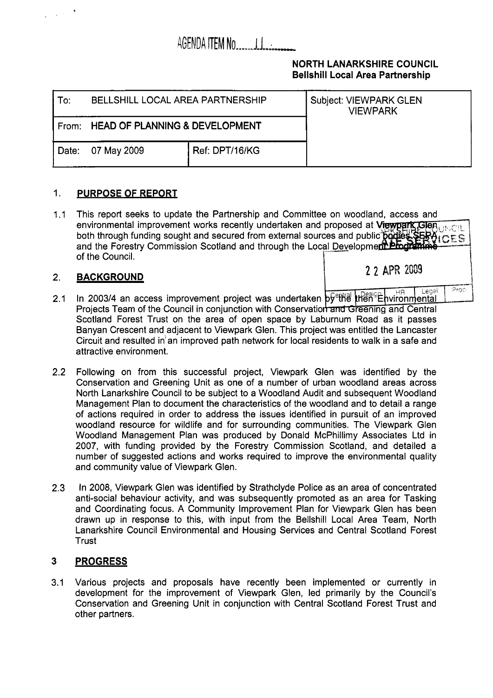# AGENDA ITEM NO.........

### **NORTH LANARKSHIRE COUNCIL Bellshill Local Area Partnership**

 $P_{\text{FOD}}$ 

| To:   | <b>BELLSHILL LOCAL AREA PARTNERSHIP</b> |                | <b>Subject: VIEWPARK GLEN</b><br><b>VIEWPARK</b> |
|-------|-----------------------------------------|----------------|--------------------------------------------------|
|       | From: HEAD OF PLANNING & DEVELOPMENT    |                |                                                  |
| Date: | 07 May 2009                             | Ref: DPT/16/KG |                                                  |

#### 1. **PURPOSE OF REPORT**

1.1 This report seeks to update the Partnership and Committee on woodland, access and environmental improvement works recently undertaken and proposed at Viewpark GleAutoClu both through funding sought and secured from external sources and public and the Forestry Commission Scotland and through the Local Developme of the Council. I-- **<sup>I</sup>**

#### 2. **BACKGROUND**

 $\mathcal{A}^{(1,2)}$ 

- Legal In 2003/4 an access improvement project was undertaken  $\frac{1}{2}$ 2.1 Projects Team of the Council in conjunction with Conservation and Greening and Central Scotland Forest Trust on the area of open space by Laburnum Road **as** it passes Banyan Crescent and adjacent to Viewpark Glen. This project was entitled the Lancaster Circuit and resulted in'an improved path network for local residents to walk in a safe and attractive environment.
- 2.2 Following on from this successful project, Viewpark Glen was identified by the Conservation and Greening Unit as one of a number of urban woodland areas across North Lanarkshire Council to be subject to a Woodland Audit and subsequent Woodland Management Plan to document the characteristics of the woodland and to detail a range of actions required in order to address the issues identified in pursuit of an improved woodland resource for wildlife and for surrounding communities. The Viewpark Glen Woodland Management Plan was produced by Donald McPhillimy Associates Ltd in 2007, with funding provided by the Forestry Commission Scotland, and detailed a number of suggested actions and works required to improve the environmental quality and community value of Viewpark Glen.
- 2.3 In 2008, Viewpark Glen was identified by Strathclyde Police as an area of concentrated anti-social behaviour activity, and was subsequently promoted as an area for Tasking and Coordinating focus. A Community Improvement Plan for Viewpark Glen has been drawn up in response to this, with input from the Bellshill Local Area Team, North Lanarkshire Council Environmental and Housing Services and Central Scotland Forest **Trust**

#### **3 PROGRESS**

3.1 Various projects and proposals have recently been implemented or currently in development for the improvement of Viewpark Glen, led primarily by the Council's Conservation and Greening Unit in conjunction with Central Scotland Forest Trust and other partners.